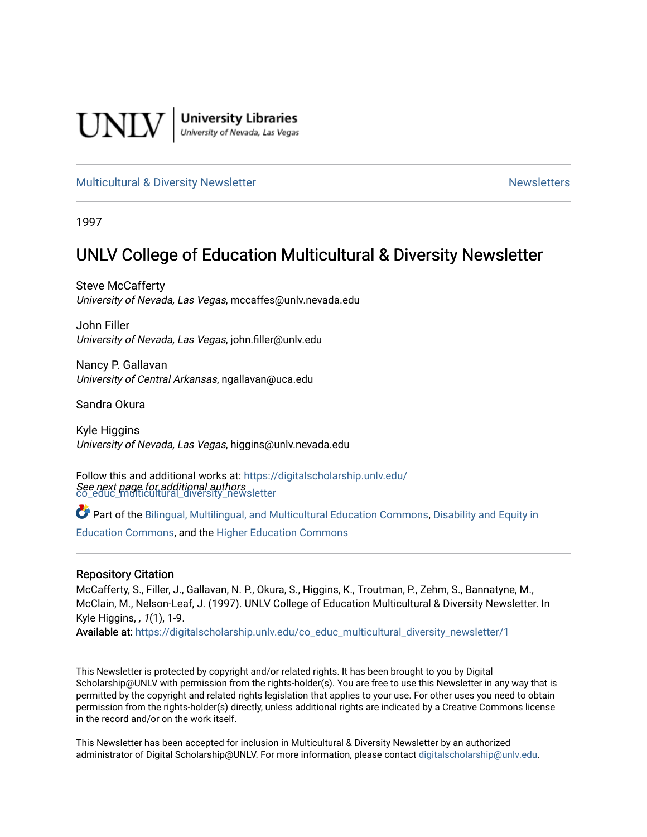

**University Libraries**<br>University of Nevada, Las Vegas

#### [Multicultural & Diversity Newsletter](https://digitalscholarship.unlv.edu/co_educ_multicultural_diversity_newsletter) Newsletter [Newsletters](https://digitalscholarship.unlv.edu/co_educ_newsletters) Newsletters

1997

### UNLV College of Education Multicultural & Diversity Newsletter

Steve McCafferty University of Nevada, Las Vegas, mccaffes@unlv.nevada.edu

John Filler University of Nevada, Las Vegas, john.filler@unlv.edu

Nancy P. Gallavan University of Central Arkansas, ngallavan@uca.edu

Sandra Okura

Kyle Higgins University of Nevada, Las Vegas, higgins@unlv.nevada.edu

See next page for additional authors [co\\_educ\\_multicultural\\_diversity\\_newsletter](https://digitalscholarship.unlv.edu/co_educ_multicultural_diversity_newsletter?utm_source=digitalscholarship.unlv.edu%2Fco_educ_multicultural_diversity_newsletter%2F1&utm_medium=PDF&utm_campaign=PDFCoverPages)  Follow this and additional works at: [https://digitalscholarship.unlv.edu/](https://digitalscholarship.unlv.edu/co_educ_multicultural_diversity_newsletter?utm_source=digitalscholarship.unlv.edu%2Fco_educ_multicultural_diversity_newsletter%2F1&utm_medium=PDF&utm_campaign=PDFCoverPages)

Part of the [Bilingual, Multilingual, and Multicultural Education Commons,](http://network.bepress.com/hgg/discipline/785?utm_source=digitalscholarship.unlv.edu%2Fco_educ_multicultural_diversity_newsletter%2F1&utm_medium=PDF&utm_campaign=PDFCoverPages) Disability and Equity in [Education Commons,](http://network.bepress.com/hgg/discipline/1040?utm_source=digitalscholarship.unlv.edu%2Fco_educ_multicultural_diversity_newsletter%2F1&utm_medium=PDF&utm_campaign=PDFCoverPages) and the [Higher Education Commons](http://network.bepress.com/hgg/discipline/1245?utm_source=digitalscholarship.unlv.edu%2Fco_educ_multicultural_diversity_newsletter%2F1&utm_medium=PDF&utm_campaign=PDFCoverPages) 

#### Repository Citation

McCafferty, S., Filler, J., Gallavan, N. P., Okura, S., Higgins, K., Troutman, P., Zehm, S., Bannatyne, M., McClain, M., Nelson-Leaf, J. (1997). UNLV College of Education Multicultural & Diversity Newsletter. In Kyle Higgins, , 1(1), 1-9.

Available at: [https://digitalscholarship.unlv.edu/co\\_educ\\_multicultural\\_diversity\\_newsletter/1](https://digitalscholarship.unlv.edu/co_educ_multicultural_diversity_newsletter/1)

This Newsletter is protected by copyright and/or related rights. It has been brought to you by Digital Scholarship@UNLV with permission from the rights-holder(s). You are free to use this Newsletter in any way that is permitted by the copyright and related rights legislation that applies to your use. For other uses you need to obtain permission from the rights-holder(s) directly, unless additional rights are indicated by a Creative Commons license in the record and/or on the work itself.

This Newsletter has been accepted for inclusion in Multicultural & Diversity Newsletter by an authorized administrator of Digital Scholarship@UNLV. For more information, please contact [digitalscholarship@unlv.edu.](mailto:digitalscholarship@unlv.edu)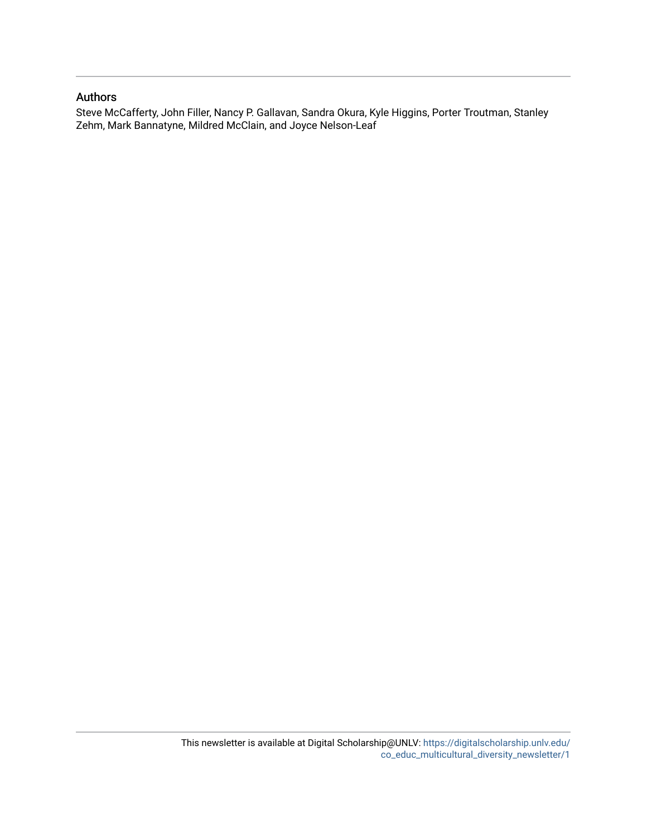#### Authors

Steve McCafferty, John Filler, Nancy P. Gallavan, Sandra Okura, Kyle Higgins, Porter Troutman, Stanley Zehm, Mark Bannatyne, Mildred McClain, and Joyce Nelson-Leaf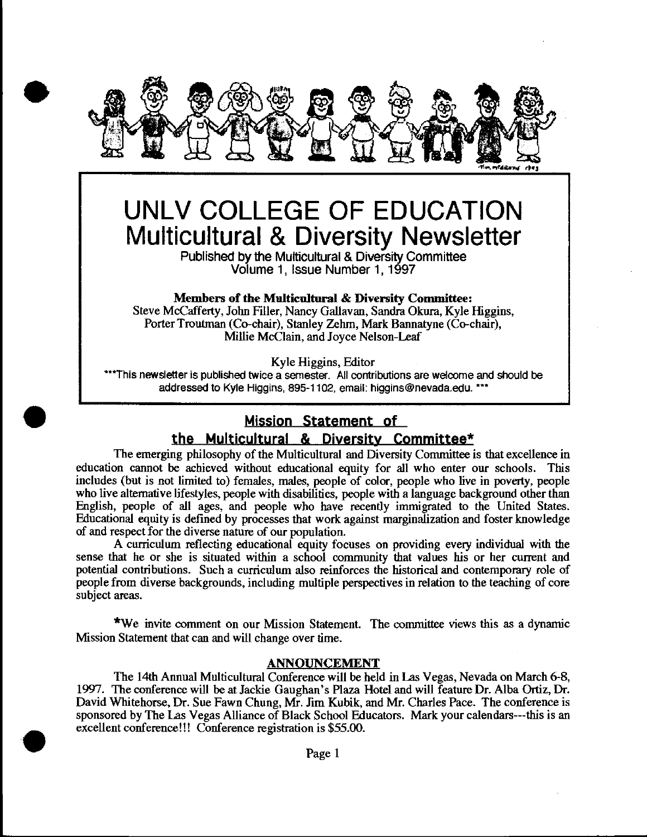

## **UNLV COLLEGE OF EDUCATION Multicultural & Diversity Newsletter**

Published by the Multicultural & Diversity Committee Volume 1, Issue Number 1, 1997

#### Members of the Multicultural & Diversity Committee:

Steve McCafferty, John Filler, Nancy Gallavan, Sandra Okura, Kyle Higgins, Porter Troutman (Co-chair), Stanley Zehm, Mark Bannatyne (Co-chair), Millie McClain, and Joyce Nelson-Leaf

Kyle Higgins, Editor

\*\*\* This newsletter is published twice a semester. All contributions are welcome and should be addressed to Kyle Higgins, 895-1102, email: higgins@nevada.edu. \*\*\*

#### **Mission Statement of**

#### the Multicultural & Diversity Committee\*

The emerging philosophy of the Multicultural and Diversity Committee is that excellence in education cannot be achieved without educational equity for all who enter our schools. This includes (but is not limited to) females, males, people of color, people who live in poverty, people who live alternative lifestyles, people with disabilities, people with a language background other than English, people of all ages, and people who have recently immigrated to the United States. Educational equity is defined by processes that work against marginalization and foster knowledge of and respect for the diverse nature of our population.

A curriculum reflecting educational equity focuses on providing every individual with the sense that he or she is situated within a school community that values his or her current and potential contributions. Such a curriculum also reinforces the historical and contemporary role of people from diverse backgrounds, including multiple perspectives in relation to the teaching of core subject areas.

\*We invite comment on our Mission Statement. The committee views this as a dynamic Mission Statement that can and will change over time.

#### ANNOUNCEMENT

The 14th Annual Multicultural Conference will be held in Las Vegas, Nevada on March 6-8, 1997. The conference will be atJackie Gaughan's Plaza Hotel and will feature Dr. Alba Ortiz, Dr. David Whitehorse, Dr. Sue Fawn Chung, Mr. Jim Kubik, and Mr. Charles Pace. The conference is sponsored by The Las Vegas Alliance of Black School Educators. Mark your calendars---this is an excellent conference!!! Conference registration is \$55.00.

•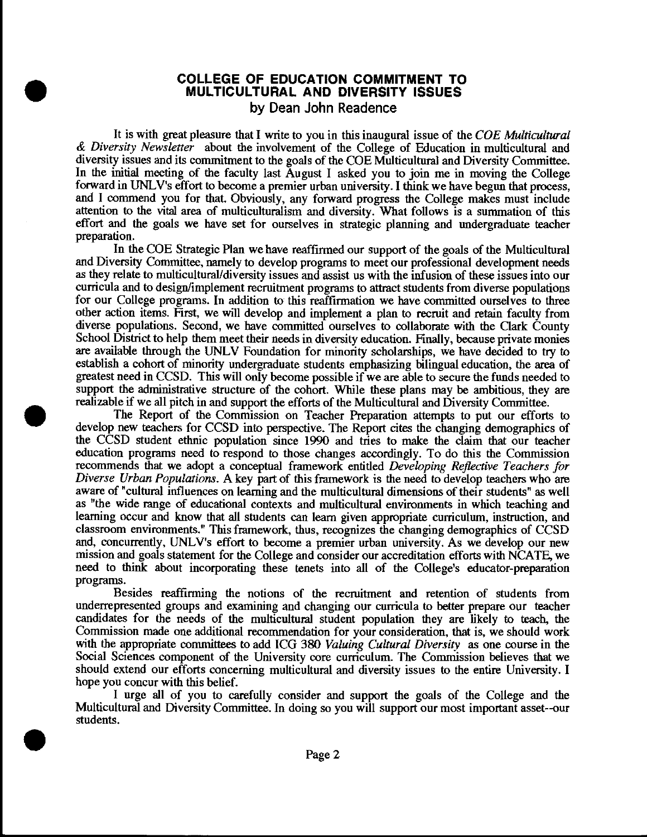#### **COLLEGE OF EDUCATION COMMITMENT TO MULTICULTURAL AND DIVERSITY ISSUES by Dean John Readence**

•

•

•

It is with great pleasure that I write to you in this inaugural issue of the *COE Multicultural*  & *Diversity Newsletter* about the involvement of the College of Education in multicultural and diversity issues and its commitment to the goals of the COE Multicultural and Diversity Committee. In the initial meeting of the faculty last August I asked you to join me in moving the College forward in UNLV's effort to become a premier urban university. I think we have begun that process, and I commend you for that. Obviously, any forward progress the College makes must include attention to the vital area of multiculturalism and diversity. What follows is a summation of this effort and the goals we have set for ourselves in strategic planning and undergraduate teacher preparation.

In the COE Strategic Plan we have reaffirmed our support of the goals of the Multicultural and Diversity Committee, namely to develop programs to meet our professional development needs as they relate to multicultural/diversity issues and assist us with the infusion of these issues into our curricula and to design/implement recruitment programs to attract students from diverse populations for our College programs. In addition to this reaffirmation we have committed ourselves to three other action items. First, we will develop and implement a plan to recruit and retain faculty from diverse populations. Second, we have committed ourselves to collaborate with the Clark County School District to help them meet their needs in diversity education. Finally, because private monies are available through the UNLV Foundation for minority scholarships, we have decided to try to establish a cohort of minority undergraduate students emphasizing bilingual education, the area of greatest need in CCSD. This will only become possible if we are able to secure the funds needed to support the administrative structure of the cohort. While these plans may be ambitious, they are realizable if we all pitch in and support the efforts of the Multicultural and Diversity Committee .

The Report of the Commission on Teacher Preparation attempts to put our efforts to develop new teachers for CCSD into perspective. The Report cites the changing demographics of the CCSD student ethnic population since 1990 and tries to make the claim that our teacher education programs need to respond to those changes accordingly. To do this the Commission recommends that we adopt a conceptual framework entitled *Developing Reflective Teachers for Diverse Urban Populations.* A key part of this framework is the need to develop teachers who are aware of "cultural influences on learning and the multicultural dimensions of their students" as well as "the wide range of educational contexts and multicultural environments in which teaching and learning occur and know that all students can learn given appropriate curriculum, instruction, and classroom environments. • This framework, thus, recognizes the changing demographics of CCSD and, concurrently, UNLV's effort to become a premier urban university. As we develop our new mission and goals statement for the College and consider our accreditation efforts with NCATE, we need to think about incorporating these tenets into all of the College's educator-preparation programs.

Besides reaffirming the notions of the recruitment and retention of students from underrepresented groups and examining and changing our curricula to better prepare our teacher candidates for the needs of the multicultural student population they are likely to teach, the Commission made one additional recommendation for your consideration, that is, we should work with the appropriate committees to add ICG 380 *Valuing Cultural Diversity* as one course in the Social Sciences component of the University core curriculum. The Commission believes that we should extend our efforts concerning multicultural and diversity issues to the entire University. I hope you concur with this belief.

I urge all of you to carefully consider and support the goals of the College and the Multicultural and Diversity Committee. In doing so you will support our most important asset--our students.

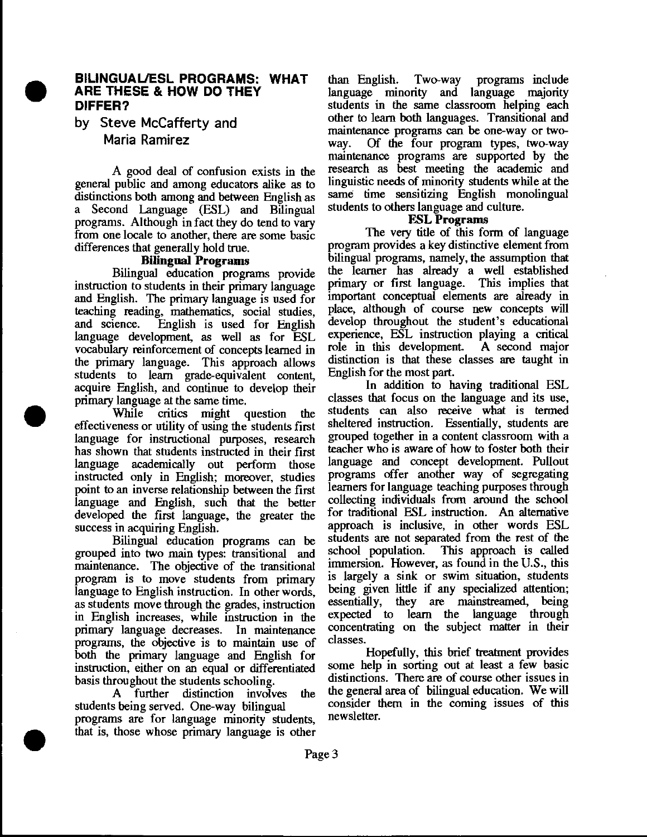

•

•

#### **BILINGUALJESL PROGRAMS: WHAT ARE THESE & HOW DO THEY DIFFER?**

by Steve McCafferty and Maria Ramirez

A good deal of confusion exists in the general public and among educators alike as to distinctions both among and between English as a Second Language (ESL) and Bilingual programs. Although in fact they do tend to vary from one locale to another, there are some basic differences that generally hold true.

**Bilingual Programs**<br>Bilingual education programs provide mstruction to students in their primary language and English. The primary language is used for teaching reading, mathematics, social studies, and science. English is used for English language development, as well as for ESL vocabulary reinforcement of concepts learned in the primary language. This approach allows students to learn grade-equivalent content, acquire English, and continue to develop their primary language at the same time.

While critics might question the effectiveness or utility of using the students first language for instructional purposes, research has shown that students instructed in their first language academically out perform those instructed only in English; moreover, studies point to an inverse relationship between the first language and English, such that the better developed the first language, the greater the success in acquiring English.

Bilingual education programs can be grouped into two main types: transitional and maintenance. The objective of the transitional program is to move students from primary language to English instruction. In other words, as students move through the grades, instruction m English increases, while instruction in the primary language decreases. In maintenance programs, the objective is to maintain use of both the primary language and English for mstruction, either on an equal or differentiated basis throughout the students schooling.

A further distinction involves the students being served. One-way bilingual programs are for language minority students, that is, those whose primary language is other

than English. Two-way programs include language minority and language majority students in the same classroom helping each other to learn both languages. Transitional and maintenance programs can be one-way or twoway. Of the four program types, two-way maintenance programs are supported by the research as best meeting the academic and linguistic needs of minority students while at the same time sensitizing English monolingual students to others language and culture.

#### ESL Programs

The very title of this form of language program provides a key distinctive element from bilingual programs, namely, the assumption that the Ieamer has already a well established primary or first language. This implies that important conceptual elements are already in place, although of course new concepts will develop throughout the student's educational experience, ESL instruction playing a critical role in this development. A second major distinction is that these classes are taught in English for the most part.

In addition to having traditional ESL classes that focus on the language and its use, students can also receive what is termed sheltered instruction. Essentially, students are grouped together in a content classroom with a teacher who is aware of how to foster both their language and concept development. Pullout programs offer another way of segregating learners for language teaching purposes through collecting individuals from around the school for traditional ESL instruction. An alternative approach is inclusive, in other words ESL students are not separated from the rest of the school population. This approach is called This approach is called immersion. However, as found in the U.S., this is largely a sink or swim situation, students being given little if any specialized attention; essentially, they are mainstreamed, being expected to learn the language through concentrating on the subject matter in their classes.

Hopefully, this brief treatment provides some help in sorting out at least a few basic distinctions. There are of course other issues in the general area of bilingual education. We will consider them in the corning issues of this newsletter.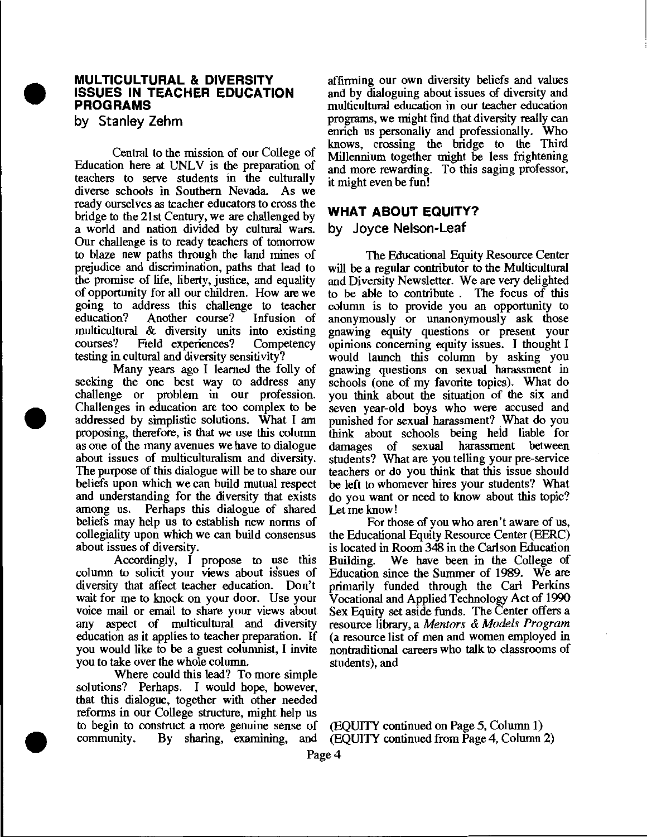# •

•

•

#### **MULTICULTURAL & DIVERSITY ISSUES IN TEACHER EDUCATION PROGRAMS**

by Stanley Zehm

Central to the mission of our College of Education here at UNLV is the preparation of teachers to serve students in the culturally diverse schools in Southern Nevada. As we ready ourselves as teacher educators to cross the bridge to the 21st Century, we are challenged by a world and nation divided by cultural wars. Our challenge is to ready teachers of tomorrow to blaze new paths through the land mines of prejudice and discrimination, paths that lead to the promise of life, liberty, justice, and equality of opportunity for all our children. How are we going to address this challenge to teacher<br>education? Another course? Infusion of education? Another course? multicultural & diversity units into existing<br>courses? Field experiences? Competency Field experiences? testing in cultural and diversity sensitivity?

Many years ago I learned the folly of seeking the one best way to address any challenge or problem in our profession. Challenges in education are too complex to be addressed by simplistic solutions. What I am proposing, therefore, is that we use this column as one of the many avenues we have to dialogue about issues of multiculturalism and diversity. The purpose of this dialogue will be to share our beliefs upon which we can build mutual respect and understanding for the diversity that exists among us. Perhaps this dialogue of shared beliefs may help us to establish new norms of collegiality upon which we can build consensus about issues of diversity.

Accordingly, I propose to use this column to solicit your views about issues of diversity that affect teacher education. Don't wait for me to knock on your door. Use your voice mail or email to share your views about any aspect of multicultural and diversity education as it applies to teacher preparation. If you would like to be a guest columnist, I invite you to take over the whole column.

Where could this lead? To more simple solutions? Perhaps. I would hope, however, that this dialogue, together with other needed reforms in our College structure, might help us to begin to construct a more genuine sense of (EQUITY continued on Page *5,* Column 1)

affirming our own diversity beliefs and values and by dialoguing about issues of diversity and multicultural education in our teacher education programs, we might find that diversity really can enrich us personally and professionally. Who knows, crossing the bridge to the Third Millennium together might be less frightening and more rewarding. To this saging professor, it might even be fun!

#### **WHAT ABOUT EQUITY?**

by Joyce Nelson-Leaf

The Educational Equity Resource Center will be a regular contributor to the Multicultural and Diversity Newsletter. We are very delighted to be able to contribute . The focus of this column is to provide you an opportunity to anonymously or unanonymously ask those gnawing equity questions or present your opinions concerning equity issues. I thought I would launch this column by asking you gnawing questions on sexual harassment in schools (one of my favorite topics). What do you think about the situation of the six and seven year-old boys who were accused and punished for sexual harassment? What do you think about schools being held liable for damages of sexual harassment between students? What are you telling your pre-service teachers or do you think that this issue should be left to whomever hires your students? What do you want or need to know about this topic? Let me know!

For those of you who aren't aware of us, the Educational Equity Resource Center (EERC) is located in Room 348 in the Carlson Education We have been in the College of Education since the Summer of 1989. We are primarily funded through the Carl Perkins Vocational and Applied Technology Act of 1990 Sex Equity set aside funds. The Center offers a resource library, a *Mentors* & *Models Program*  (a resource list of men and women employed in nontraditional careers who talk to classrooms of students), and

 $E\left( \text{EQUITY} \right)$  continued from Page 4, Column 2)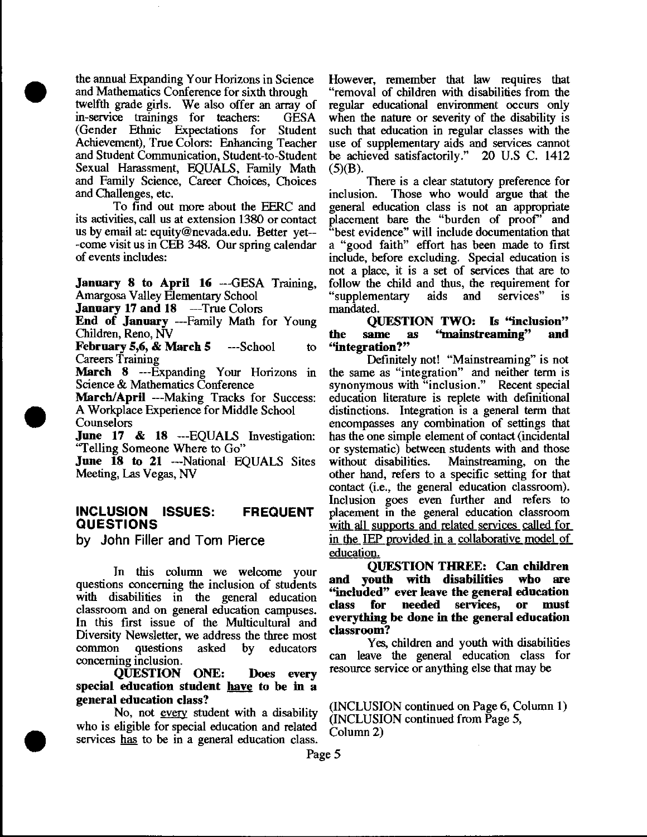the annual Expanding Your Horizons in Science and Mathematics Conference for sixth through

•

•

•

twelfth grade girls. We also offer an array of<br>in-service trainings for teachers: GESA in-service trainings for teachers: (Gender Ethnic Expectations for Student Achievement), True Colors: Enhancing Teacher and Student Communication, Student-to-Student Sexual Harassment, EQUALS, Family Math and Family Science, Career Choices, Choices and Challenges, etc.

To find out more about the EERC and its activities, call us at extension 1380 or contact us by email at: equity@nevada.edu. Better yet---come visit us in CEB 348. Our spring calendar of events includes:

January 8 to April 16 ---GESA Training, Amargosa Valley Elementary School

January 17 and 18 --True Colors

End of January ---Family Math for Young Children, Reno, NV

February 5,6, & March 5  $-$ -School to Careers Training

March 8 ---Expanding Your Horizons in Science & Mathematics Conference

March/April ---Making Tracks for Success: A Workplace Experience for Middle School Counselors

June 17 & 18 ---EQUALS Investigation: "Telling Someone Where to Go"

June 18 to 21 ---National EQUALS Sites Meeting, Las Vegas, NV

#### INCLUSION ISSUES: FREQUENT QUESTIONS

by John Filler and Tom Pierce

In this column we welcome your questions concerning the inclusion of students with disabilities in the general education classroom and on general education campuses. In this first issue of the Multicultural and Diversity Newsletter, we address the three most<br>common questions asked by educators common questions asked by concerning inclusion.

QUESTION ONE: Does every special education student have to be in a general education class?

No, not every student with a disability who is eligible for special education and related services has to be in a general education class.

However, remember that Jaw requires that "removal of children with disabilities from the regular educational environment occurs only when the nature or severity of the disability is such that education in regular classes with the use of supplementary aids and services cannot be achieved satisfactorily." 20 U.S C. 1412  $(5)(B).$ 

There is a clear statutory preference for inclusion. Those who would argue that the general education class is not an appropriate placement bare the "burden of proof' and "best evidence" will include documentation that a "good faith" effort has been made to first include, before excluding. Special education is not a place, it is a set of services that are to follow the child and thus, the requirement for<br>"supplementary aids and services" is "supplementary aids and services" is mandated.

QUESTION TWO: Is "inclusion" the same as "mainstreaming" and<br>"integration?"

Definitely not! "Mainstreaming" is not the same as "integration" and neither term is synonymous with "inclusion." Recent special education literature is replete with definitional distinctions. Integration is a general term that encompasses any combination of settings that has the one simple element of contact (incidental or systematic) between students with and those without disabilities. Mainstreaming, on the other hand, refers to a specific setting for that contact (i.e., the general education classroom). Inclusion goes even further and refers to placement in the general education classroom with all supports and related services called for in the IEP provided in a collaborative model of education.

QUESTION THREE: Can children and youth with disabilities who are ''included" ever leave the general education class for needed services, or must everything be done in the general education classroom?

Yes, children and youth with disabilities can leave the general education class for resource service or anything else that may be

(INCLUSION continued on Page 6, Column 1) (INCLUSION continued from Page 5, Column 2)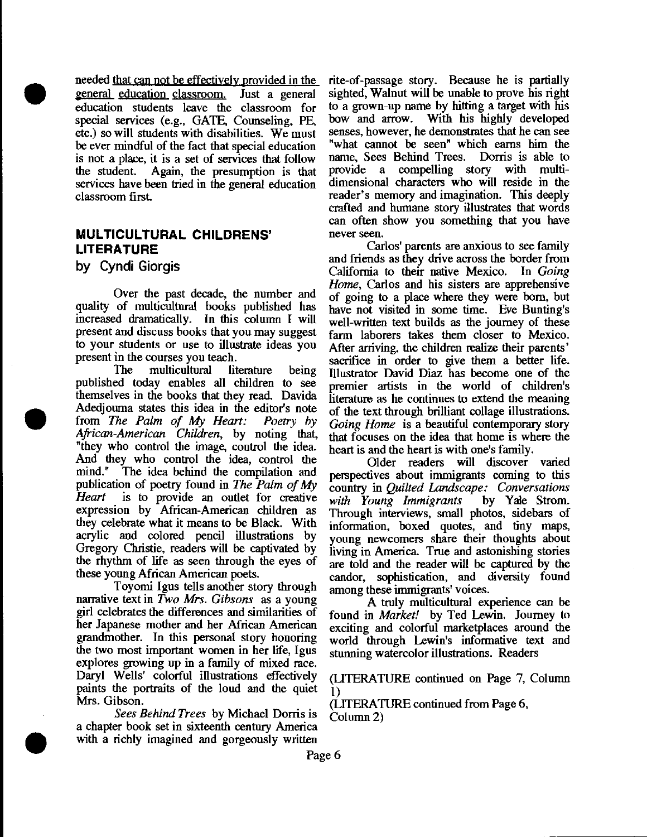needed that can not be effectively provided in the general education classroom. Just a general education students leave the classroom for special services (e.g., GATE, Counseling, PE, etc.) so will students with disabilities. We must be ever mindful of the fact that special education is not a place, it is a set of services that follow the student. Again, the presumption is that services have been tried in the general education classroom first.

#### **MULTICULTURAL CHILDRENS' LITERATURE**

by Cyndi Giorgis

•

•

•

Over the past decade, the number and quality of multicultural books published has increased dramatically. In this column I will present and discuss books that you may suggest to your students or use to illustrate ideas you present in the courses you teach.

The multicultural literature being published today enables all children to see themselves in the books that they read. Davida Adedjouma states this idea in the editor's note from *The Palm of My Heart: Poetry by African-American Children,* by noting that, "they who control the image, control the idea. And they who control the idea, control the mind." The idea behind the compilation and publication of poetry found in *The Palm of My Heart* is to provide an outlet for creative expression by African-American children as they celebrate what it means to be Black. With acrylic and colored pencil illustrations by Gregory Christie, readers will be captivated by the rhythm of life as seen through the eyes of these young African American poets.

Toyomi Igus tells another story through narrative text in *Two Mrs. Gibsons* as a young girl celebrates the differences and similarities of her Japanese mother and her African American grandmother. In this personal story honoring the two most important women in her life, Igus explores growing up in a family of mixed race. Daryl Wells' colorful illustrations effectively paints the portraits of the loud and the quiet Mrs. Gibson.

*Sees Behind Trees* by Michael Dorris is a chapter book set in sixteenth century America with a richly imagined and gorgeously written

rite-of-passage story. Because he is partially sighted, Walnut will be unable to prove his right to a grown-up name by hitting a target with his bow and arrow. With his highly developed senses, however, he demonstrates that he can see "what cannot be seen" which earns him the name, Sees Behind Trees. Dorris is able to provide a compelling story with multidimensional characters who will reside in the reader's memory and imagination. This deeply crafted and humane story illustrates that words can often show you something that you have never seen.

Carlos' parents are anxious to see family and friends as they drive across the border from California to their native Mexico. In *Going Home,* Carlos and his sisters are apprehensive of going to a place where they were born, but have not visited in some time. Eve Bunting's well-written text builds as the journey of these farm laborers takes them closer to Mexico. After arriving, the children realize their parents' sacrifice in order to give them a better life. Illustrator David Diaz has become one of the premier artists in the world of children's literature as he continues to extend the meaning of the text through brilliant collage illustrations. *Going Home* is a beautiful contemporary story that focuses on the idea that home is where the heart is and the heart is with one's family.

Older readers will discover varied perspectives about immigrants coming to this country in *Quilted Landscape: Conversations with Young Immigrants* by Yale Strom. Through interviews, small photos, sidebars of information, boxed quotes, and tiny maps, young newcomers share their thoughts about living in America. True and astonishing stories are told and the reader will be captured by the candor, sophistication, and diversity found among these immigrants' voices.

A truly multicultural experience can be found in *Market!* by Ted Lewin. Journey to exciting and colorful marketplaces around the world through Lewin's informative text and stunning watercolor illustrations. Readers

(UTERATURE continued on Page 7, Colunm l)

(LITERATURE continued from Page 6, Column2)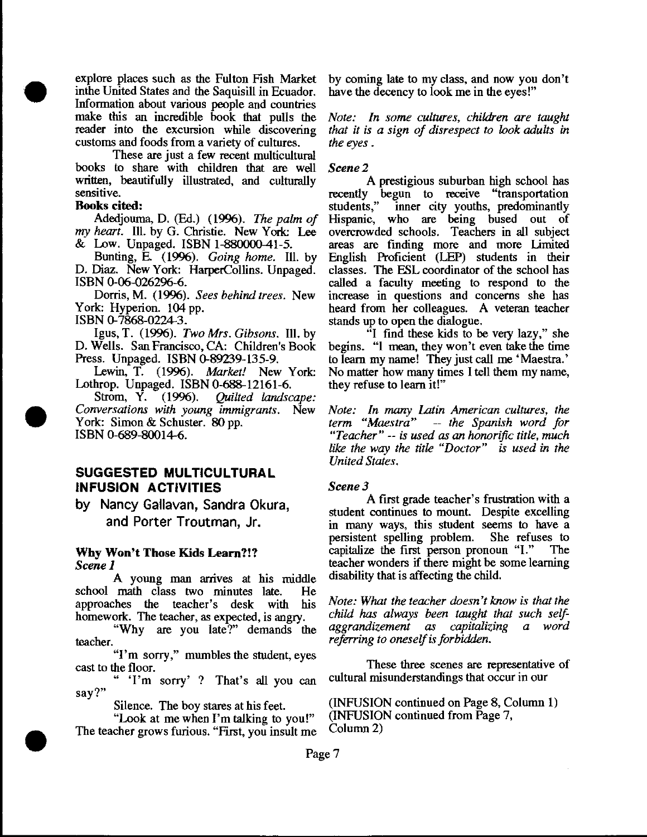explore places such as the Fulton Fish Market inthe United States and the Saquisill in Ecuador. Information about various people and countries make this an incredible book that pulls the reader into the excursion while discovering customs and foods from a variety of cultures.

These are just a few recent multicultural books to share with children that are well written, beautifully illustrated, and culturally sensitive.

#### Books cited:

•

•

•

Adedjouma, D. (Ed.) (1996). The *palm of my heart.* 111. by G. Christie. New York: Lee & Low. Unpaged. ISBN 1-880000-41-5.

Bunting, E. ( 1996). *Going home.* Ill. by D. Diaz. NewYork: HarperCollins. Unpaged. ISBN 0-06-026296-6.

Dorris, M. (1996). *Sees behind trees.* New York: Hyperion. 104 pp.

ISBN 0-7868-0224-3.

Igus, T. (1996). *Two Mrs. Gibsons.* Ill. by D. Wells. San Francisco, CA: Children's Book Press. Unpaged. ISBN 0-89239-135-9.

Lewin, T. (1996). *Market!* New York: Lothrop. Unpaged. ISBN 0-688-12161-6.

Strom, Y. (1996). *Quilted landscape: Conversations with young immigrants.* New York: Simon & Schuster. 80 pp. ISBN 0-689-80014-6.

#### **SUGGESTED MULTICULTURAL INFUSION ACTIVITIES**

by Nancy Gallavan, Sandra Okura, and Porter Troutman, Jr.

#### Why Won't Those Kids Learn?!? *Scenel*

A young man arrives at his middle school math class two minutes late. He approaches the teacher's desk with his homework. The teacher, as expected, is angry.

"Why are you late?" demands the teacher.

"I'm sorry," mumbles the student, eyes cast to the floor.

say?" " 'I'm sorry' ? That's all you can

Silence. The boy stares at his feet.

"Look at me when I'm talking to you!" The teacher grows furious. "First, you insult me

by coming late to my class, and now you don't have the decency to look me in the eyes!"

*Note: In some cultures, children are taught that it is a sign of disrespect to look adults* in *the eyes.* 

#### *Scene2*

A prestigious suburban high school has recently begun to receive "transportation<br>students," inner city youths, predominantly students," inner city youths, predominantly Hispanic, who are being bused out of overcrowded schools. Teachers in all subject areas are finding more and more Limited English Proficient (LEP) students in their classes. The ESL coordinator of the school has called a faculty meeting to respond to the increase in questions and concerns she has heard from her colleagues. A veteran teacher stands up to open the dialogue.

"I find these kids to be very lazy," she begins. "I mean, they won't even take the time to learn my name! They just call me 'Maestra.' No matter how many times I tell them my name, they refuse to learn it!"

*Note: In many Latin American cultures, the term "Maestra"* -- *the Spanish word for "Teacher"* -- *is used as an honorific title, much like the way the titk "Doctor" is used in the United States.* 

#### *Scene3*

A first grade teacher's frustration with a student continues to mount. Despite excelling in many ways, this student seems to have a persistent spelling problem. She refuses to capitalize the first person pronoun "I." The teacher wonders if there might be some learning disability that is affecting the child.

*Note: What the teacher doesn't know is that the child has always been taught that such selfaggrandizement as capitalizing a word referring to oneself is forbidden.* 

These three scenes are representative of cultural misunderstandings that occur in our

(INFUSION continued on Page 8, Column 1) (INFUSION continued from Page 7, Colunm2)

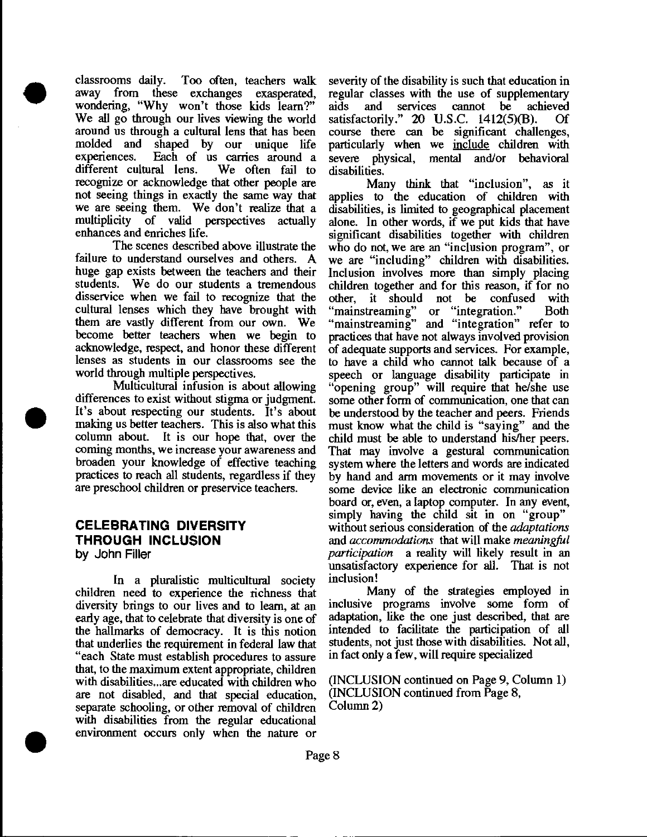classrooms daily. Too often, teachers walk away from these exchanges exasperated, wondering, "Why won't those kids learn?" We all go through our lives viewing the world around us through a cultural lens that has been molded and shaped by our unique life experiences. Each of us carries around a different cultural lens. We often fail to recognize or acknowledge that other people are not seeing things in exactly the same way that we are seeing them. We don't realize that a multiplicity of valid perspectives actually enhances and enriches life.

•

•

•

The scenes described above illustrate the failure to understand ourselves and others. A huge gap exists between the teachers and their students. We do our students a tremendous disservice when we fail to recognize that the cultural lenses which they have brought with them are vastly different from our own. We become better teachers when we begin to acknowledge, respect, and honor these different lenses as students in our classrooms see the world through multiple perspectives.

Multicultural infusion is about allowing differences to exist without stigma or judgment. It's about respecting our students. It's about making us better teachers. This is also what this column about. It is our hope that, over the coming months, we increase your awareness and broaden your knowledge of effective teaching practices to reach all students, regardless if they are preschool children or preservice teachers.

#### **CELEBRATING DIVERSITY THROUGH INCLUSION**  by John Filler

In a pluralistic multicultural society children need to experience the richness that diversity brings to our lives and to learn, at an early age, that to celebrate that diversity is one of the hallmarks of democracy. It is this notion that underlies the requirement in federal law that "each State must establish procedures to assure that, to the maximum extent appropriate, children with disabilities...are educated with children who are not disabled, and that special education, separate schooling, or other removal of children with disabilities from the regular educational environment occurs only when the nature or

severity of the disability is such that education in regular classes with the use of supplementary aids and services cannot be achieved satisfactorily." 20 U.S.C. 1412(5)(B). Of course there can be significant challenges, particularly when we include children with severe physical, mental and/or behavioral disabilities.

Many think that "inclusion", as it applies to the education of children with disabilities, is limited to geographical placement alone. In other words, if we put kids that have significant disabilities together with children who do not, we are an "inclusion program", or we are "including" children with disabilities. Inclusion involves more than simply placing children together and for this reason, if for no other, it should not be confused with "mainstreaming" or "integration." Both "mainstreaming" and "integration" refer to practices that have not always involved provision of adequate supports and services. For example, to have a child who cannot talk because of a speech or language disability participate in "opening group" will require that he/she use some other form of communication, one that can be understood by the teacher and peers. Friends must know what the child is "saying" and the child must be able to understand his/her peers. That may involve a gestural communication system where the letters and words are indicated by hand and arm movements or it may involve some device like an electronic communication board or, even, a laptop computer. In any event, simply having the child sit in on "group" without serious consideration of the *adaptations*  and *accommodations* that will make *meaningful participation* a reality will likely result in au unsatisfactory experience for all. That is not inclusion!

Many of the strategies employed in inclusive programs involve some form of adaptation, like the one just described, that are intended to facilitate the participation of all students, not just those with disabilities. Not all, in fact only a few, will require specialized

(INCLUSION continued on Page 9, Column 1) (INCLUSION continued from Page 8, Column2)